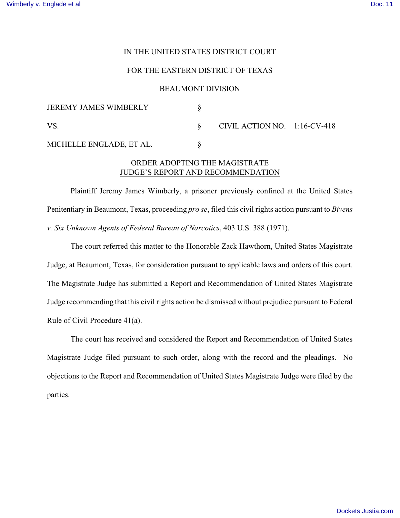## IN THE UNITED STATES DISTRICT COURT

#### FOR THE EASTERN DISTRICT OF TEXAS

### BEAUMONT DIVISION

| <b>JEREMY JAMES WIMBERLY</b> |                                 |  |
|------------------------------|---------------------------------|--|
| VS                           | CIVIL ACTION NO. $1:16$ -CV-418 |  |
| MICHELLE ENGLADE, ET AL.     |                                 |  |

# ORDER ADOPTING THE MAGISTRATE JUDGE'S REPORT AND RECOMMENDATION

Plaintiff Jeremy James Wimberly, a prisoner previously confined at the United States Penitentiary in Beaumont, Texas, proceeding *pro se*, filed this civil rights action pursuant to *Bivens v. Six Unknown Agents of Federal Bureau of Narcotics*, 403 U.S. 388 (1971).

The court referred this matter to the Honorable Zack Hawthorn, United States Magistrate Judge, at Beaumont, Texas, for consideration pursuant to applicable laws and orders of this court. The Magistrate Judge has submitted a Report and Recommendation of United States Magistrate Judge recommending that this civil rights action be dismissed without prejudice pursuant to Federal Rule of Civil Procedure 41(a).

The court has received and considered the Report and Recommendation of United States Magistrate Judge filed pursuant to such order, along with the record and the pleadings. No objections to the Report and Recommendation of United States Magistrate Judge were filed by the parties.